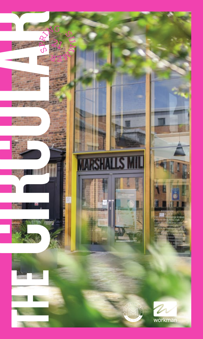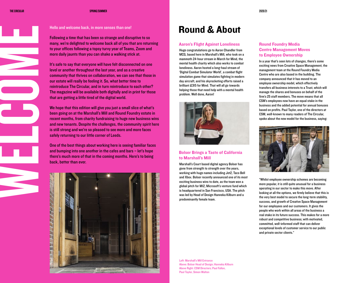WELCOMES

## Hello and welcome back, in more senses than one!

Following a time that has been so strange and disruptive to so many, we're delighted to welcome back all of you that are returning to your offices following a topsy turvy year of Teams, Zoom and more daily jaunts than you can shake a walking stick at.

It's safe to say that everyone will have felt disconnected on one level or another throughout the last year, and as a creative community that thrives on collaboration, we can see that those in our estate will really be feeling it. So, what better time to reintroduce The Circular, and in turn reintroduce to each other? The magazine will be available both digitally and in print for those that are getting a little tired of the digital world.

We hope that this edition will give you just a small slice of what's been going on at the Marshall's Mill and Round Foundry estate in recent months, from charity fundraising to huge new business wins and new tenants. Despite the challenges, the community spirit here is still strong and we're so pleased to see more and more faces safely returning to our little corner of Leeds.

One of the best things about working here is seeing familiar faces and bumping into one another in the cafes and bars – let's hope there's much more of that in the coming months. Here's to being back, better than ever.



# Round & About

### Aaron's Flight Against Loneliness

Huge congratulations go to Aaron Chandler from MCG, based here in Marshall's Mill, who took on a mammoth 24-hour stream in March for Mind, the mental health charity which also works to combat loneliness. Aaron hosted a long-haul stream of 'Digital Combat Simulator World', a combat flight simulation game that simulates fighting in modern day aircraft, and his skyrocketing efforts raised a brilliant £315 for Mind. That will all go towards helping those that need help with a mental health problem. Well done, Aaron!



# Bolser Brings a Taste of California to Marshall's Mill

Marshall's Court based digital agency Bolser has gone from strength to strength over the years, working with huge names including Jet2, Taco Bell and Xbox. Bolser recently announced one of its most exciting business wins to date, as the team won a global pitch for M12, Microsoft's venture fund which is headquartered in San Francisco, USA. The pitch was led by Head of Design Hanneka Kilburn and a predominantly female team.

# Round Foundry Media Centre Management Moves to Employee Ownership

In a year that's seen lots of changes, there's some exciting news from Creative Space Management, the management team at the Round Foundry Media Centre who are also based in the building. The company announced that it has moved to an employee ownership model, which effectively transfers all business interests to a Trust, which will manage the shares and bonuses on behalf of the firm's 25 staff members. The move means that all CSM's employees now have an equal stake in the business and the added potential for annual bonuses based on profits. Paul Taylor, one of the directors at CSM, well-known to many readers of The Circular, spoke about the new model for the business, saying:



"Whilst employee ownership schemes are becoming more popular, it is still quite unusual for a business operating in our sector to make this move. After looking at all the options, we firmly believe that this is the very best model to secure the long-term stability, success, and growth of Creative Space Management for our employees and our customers. It gives the people who work within all areas of the business a real stake in its future success. This makes for a more robust and competitive business; with motivated, committed, well-informed staff that can deliver exceptional levels of customer service to our public and private sector clients."

Left: Marshall's Mill Entrance Above: Bolser Head of Design; Hanneka Kilburn Above Right: CSM Directors; Paul Fallon, Paul Taylor, Simon Walton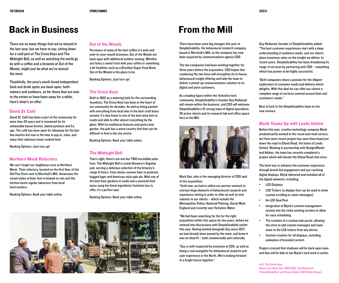# Back in Business

There are so many things that we've missed in the last year, but we have to say, sitting down for a cold pint at The Cross Keys and The Midnight Bell, as well as watching the world go by with a coffee and a brownie at Out of the Woods, might just be what we've missed the most.

Thankfully, the area's much-loved independent food and drink spots are back open, both indoors and outdoors, so for those that are new to the estate or have been away for a while, here's what's on offer:

# David St. Café

David St. Café has been a part of the community for more than 25 years and is renowned for its unbeatable bacon butties, baked potatoes and fry ups. The café has been open for takeaway for the last few months but now is the time to pop in, relax, and enjoy their delicious home cooked food.

Booking Options: Just turn up!

### Northern Monk Refectory

We can't forget our neighbours over at Northern Monk. Their refectory, located on the first floor of the Old Flax Store next to Marshall's Mill, showcases the varied styles of beer that is brewed on site and the kitchen hosts regular takeovers from local food vendors.

Booking Options: Book your table online.

## Out of the Woods

Purveyors of some of the best coffee in Leeds and melt-in-your-mouth brownies, Out of the Woods are back open with additional outdoor seating. Whether you fancy a sweet treat with your coffee or something a bit healthier such as a Brazilian Super Food Bowl, Out of the Woods is the place to be.

Booking Options: Just turn up!

### The Cross Keys

Built in 1802 as a watering hole for the surrounding foundries, The Cross Keys has been at the heart of our community for decades. As well as being packed with everything from local ales to the best craft beers around, it's also home to one of the best wine lists in Leeds and able to offer almost everything by the glass. With its traditional features and pretty beer garden, the pub has a warm country feel that can be difficult to find in the city centre.

Booking Options: Book your table online.

# The Midnight Bell

That's right, there's not one but TWO incredible pubs here. The Midnight Bell is Leeds Brewery's flagship pub, serving a delicious selection of the brewery's range of beers, from classic session beer to premium kegged lager and American style pale ale. With one of the best beer gardens in Leeds and a seasonal food menu using the finest ingredients Yorkshire has to offer, it's a perfect spot.

Booking Options: Book your table online.



# From the Mill

There have been some big changes this year at SimpleUsability, the behavioural research company based in Marshall's Mill, as the company has now been acquired by communications agency CDS.

The two companies had been working together for three years before the acquisition. CDS hopes that combining the two firms will strengthen its in-house behavioural insight offering and help the team to deliver a joined-up communications solution to its digital and print customers.

As a leading figure within the Yorkshire tech community, SimpleUsability's founder Guy Redwood will remain within the business, and CDS will welcome SimpleUsability's 15-strong team of digital specialists, 35 active clients and its research lab and office space here in the Mill.



Mark Gair, who is the managing director of CDS said of the acquisition:

"Until now, we had to utilise our partner network to oversee large elements of behavioural research and experience testing in order to offer an end-to-end solution to our clients – which include the Metropolitan Police, National Policing, Social Work England and recently-won Yorkshire Water.

"We had been searching for the for the right acquisition within this space for two years, before we entered into discussions with SimpleUsability earlier this year. Having worked alongside Guy since 2017, we had already been wowed by the team, and knew it was an ideal fit – both commercially and culturally.

"Guy is well-respected by everyone at CDS, as well as being a real evangelist for behavioural research and user experience in the North. We're looking forward to a bright future together."

Guy Redwood, founder of SimpleUsability added: "The best customer experiences start with a deep understanding of audience needs, and our clients place enormous value on the insight we deliver. In recent years, SimpleUsability has been broadening its range of services by partnering with CDS – something which has proven to be highly successful.

"Both companies share a passion for the diligent exploration of customer needs and delivery which delights. With this deal we can offer our clients a complete range of services centred around their end customers' needs."

Best of luck to the SimpleUsability team on the new venture.

# Blynk Teams Up with Leeds United

Before this year, creative technology company Blynk predominantly worked in the travel and retail sectors, but their most recent project has seen them head just down the road to Elland Road, the home of Leeds United. Working in partnership with Design4Retail and Adidas, the team has recently completed a project which will elevate the Elland Road club store.

The brief was to enhance the customer experience through brand-led engagement and eye-catching digital displays. Blynk delivered and installed all of the digital elements, including:

- LED Displays
- LED Tickers (a display that can be used to show custom scrolling or static messages)
- An LED Goal Post
- Integration of Blynk's content management system into the clubs existing screens to allow for easy scheduling
- The creation of a custom web portal, allowing the store to add custom messages and team news to the LED tickers from any device.
- Content creation for all displays, including animation of branded content.

Fingers crossed that stadiums will be back open soon and fans will be able to see Blynk's hard work in action.

Left: The Cross Keys Above Left: Mark Gair (MD CDS), Guy Redwood (SimpleUsability) and Fergus Bailie (CEO Bailie Group)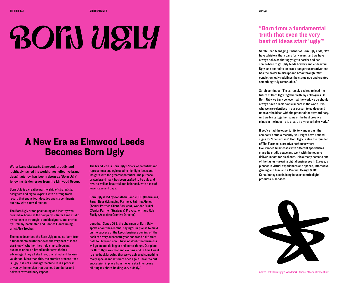# **BOIN USLY**

# A New Era as Elmwood Leeds Becomes Born Ugly

Water Lane stalwarts Elmwood, proudly and justifiably named the world's most effective brand design agency, has been reborn as 'Born Ugly' following its demerger from the Elmwood Group.

Born Ugly is a creative partnership of strategists, designers and digital experts with a strong track record that spans four decades and six continents, but now with a new direction.

The Born Ugly brand positioning and identity was created in-house at the company's Water Lane studio by its team of strategists and designers, and crafted by Grammy-nominated and Cannes Lion winning artist Alex Trochut.

The team describes the Born Ugly name as 'born from a fundamental truth that even the very best of ideas start 'ugly', whether they help start a fledgling business or help a brand leader stretch their advantage. They all start raw, uncrafted and lacking validation. More than this, the creative process itself is ugly. It is not a sausage machine. It is a process driven by the tension that pushes boundaries and delivers extraordinary impact.'

The brand icon is Born Ugly's 'mark of potential' and represents a squiggle used to highlight ideas and insights with the greatest potential. The purpose drawn brand mark has been crafted to be ugly and raw, as well as beautiful and balanced, with a mix of lower case and caps.

Born Ugly is led by Jonathan Sands OBE (Chairman), Sarah Dear (Managing Partner), Sabrina Ahmed (Senior Partner, Client Services), Wander Bruijel (Senior Partner, Strategy & Provocation) and Rob Skelly (Associate Creative Director).

Jonathan Sands OBE, the chairman at Born Ugly spoke about the rebrand, saying "Our plan is to build on the success of the Leeds business coming off the back of a very successful year and tread a different path to Elmwood now. I have no doubt that business will go on and do bigger and better things. Our plans for Born Ugly are clear and exciting and in time I want to step back knowing that we've achieved something really special and different once again. I want to put succession in place from the very start hence me diluting my share-holding very quickly."

# "Born from a fundamental truth that even the very best of ideas start 'ugly'"

Sarah Dear, Managing Partner at Born Ugly adds, "We have a history that spans forty years, and we have always believed that ugly fights harder and has somewhere to go. Ugly feeds bravery and endeavour. Ugly isn't scared to embrace dangerous creative that has the power to disrupt and breakthrough. With conviction, ugly redefines the status quo and creates something truly remarkable."

Sarah continues: "I'm extremely excited to lead the future of Born Ugly together with my colleagues. At Born Ugly we truly believe that the work we do should always have a remarkable impact in the world. It is why we are relentless in our pursuit to go deep and uncover the ideas with the potential for extraordinary. And we bring together some of the best creative minds in the industry to create truly remarkable work."

If you've had the opportunity to wander past the company's studio recently, you might have noticed signs for 'The Furnace'. Born Ugly is also the founder of The Furnace, a creative hothouse where like-minded businesses with different specialisms share its studio space and work with the team to deliver impact for its clients. It is already home to one of the fastest-growing digital businesses in Europe, a pioneer in virtual experiences and spaces, interactive gaming and film, and a Product Design & UX Consultancy specialising in user-centric digital products & services.

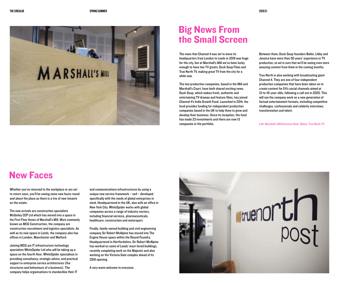

# Big News From the Small Screen

The news that Channel 4 was set to move its headquarters from London to Leeds in 2019 was huge for the city, but at Marshall's Mill we've been lucky enough to have two TV greats, Duck Soup Films and True North TV, making great TV from the city for a while now.

The two production companies, based in the Mill and Marshall's Court, have both shared exciting news. Duck Soup, which makes fresh, authentic and entertaining TV dramas and feature films, has joined Channel 4's Indie Growth Fund. Launched in 2014, the fund provides funding for independent production companies based in the UK to help them to grow and develop their business. Since its inception, the fund has made 23 investments and there are now 13 companies in the portfolio.

Between them, Duck Soup founders Bekki, Libby and Jessica have more than 50 years' experience in TV production, so we're sure that we'll be seeing even more amazing content from them in the coming months.

True North is also working with broadcasting giant Channel 4. They are one of four independent production companies that have been taken on to create content for E4's social channels aimed at 13-to-16-year-olds, following a call out in 2020. This will see the company work on a new generation of factual entertainment formats, including competitive challenges, confessionals and celebrity interviews, transformation and talent.

Left: Marshall's Mill Entrance Desk. Below: True North TV

# New Faces

Whether you've returned to the workplace or are set to return soon, you'll be seeing some new faces round and about the place as there is a trio of new tenants on the estate.

The new arrivals are construction specialists McGinley CEP Ltd which has moved into a space in the First Floor Annex of Marshall's Mill. More commonly known as MCG Construction, the company are construction recruitment and logistics specialists. As well as its new space in Leeds, the company also has offices in London, Manchester and Watford.

Joining MCG are IT infrastructure technology specialists WhiteSpider Ltd who will be taking up a space on the fourth floor. WhiteSpider specialises in providing consultancy, strategic advice, and practical support in enterprise service architectures (the structures and behaviours of a business). The company helps organisations to standardise their IT

and communications infrastructures by using a unique new service framework – ea4 – developed specifically with the needs of global enterprises in mind. Headquartered in the UK, also with an office in New York City, WhiteSpider works with global companies across a range of industry sectors, including financial services, pharmaceuticals, healthcare, construction and motorsport.

Finally, family-owned building and civil engineering company Sir Robert McAlpine has moved into The Engine House space within the Round Foundry. Headquartered in Hertfordshire, Sir Robert McAlpine has worked on some of Leeds' most-loved buildings, recently completing work on the Majestic and also working on the Victoria Gate complex ahead of its 2016 opening.

A very warm welcome to everyone.

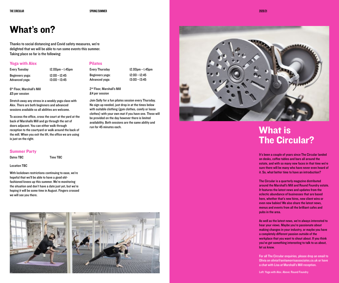Pilates

2nd Floor, Marshall's Mill £4 per session

run for 45 minutes each.

# What's on?

Thanks to social distancing and Covid safety measures, we're delighted that we will be able to run some events this summer. Taking place so far is the following:

> 12:00–12:45 13:00–13:45

# Yoga with Alex

Every Tuesday 12.00pm–1.45pm Beginners yoga: Advanced yoga:

Beginners yoga: Advanced yoga:

Every Thursday 12.00pm–1.45pm 12:00–12:45 13:00–13:45

Join Sally for a fun pilates session every Thursday. No sign up needed, just drop in at the times below with suitable clothing (gym clothes, comfy or loose clothes) with your own mat if you have one. These will be provided on the day however there is limited availability. Both sessions are the same ability and

6th Floor, Marshall's Mill £5 per session

Stretch away any stress in a weekly yoga class with Alex. There are both beginners and advanced sessions available so all abilities are welcome.

To access the office, cross the court at the yard at the back of Marshalls Mill and go through the set of doors adjacent. You can either walk through reception to the courtyard or walk around the back of the mill. When you exit the lift, the office we are using is just on the right.

### Summer Party

Dates TBC Time TBC

### Location TBC

With lockdown restrictions continuing to ease, we're hopeful that we'll be able to have a good oldfashioned knees up this summer. We're monitoring the situation and don't have a date just yet, but we're hoping it will be some time in August. Fingers crossed we will see you there.







# What is The Circular?

It's been a couple of years since The Circular landed on desks, coffee tables and bars all around the estate, and with so many new faces in that time we're sure there will be many who have never even heard of it. So, what better time to have an introduction?

The Circular is a quarterly magazine distributed around the Marshall's Mill and Round Foundry estate. It features the latest news and updates from the eclectic abundance of businesses that are based here, whether that's new hires, new client wins or even new babies! We also share the latest news, menus and events from all the brilliant cafes and pubs in the area.

As well as the latest news, we're always interested to hear your views. Maybe you're passionate about making changes in your industry, or maybe you have a completely different passion outside of the workplace that you want to shout about. If you think you've got something interesting to talk to us about, let us know.

For all The Circular enquiries, please drop an email to Olivia on olivia@anitamorrisassociates.co.uk or have a chat with Lisa at Marshall's Mill reception.

Left: Yoga with Alex. Above: Round Foundry